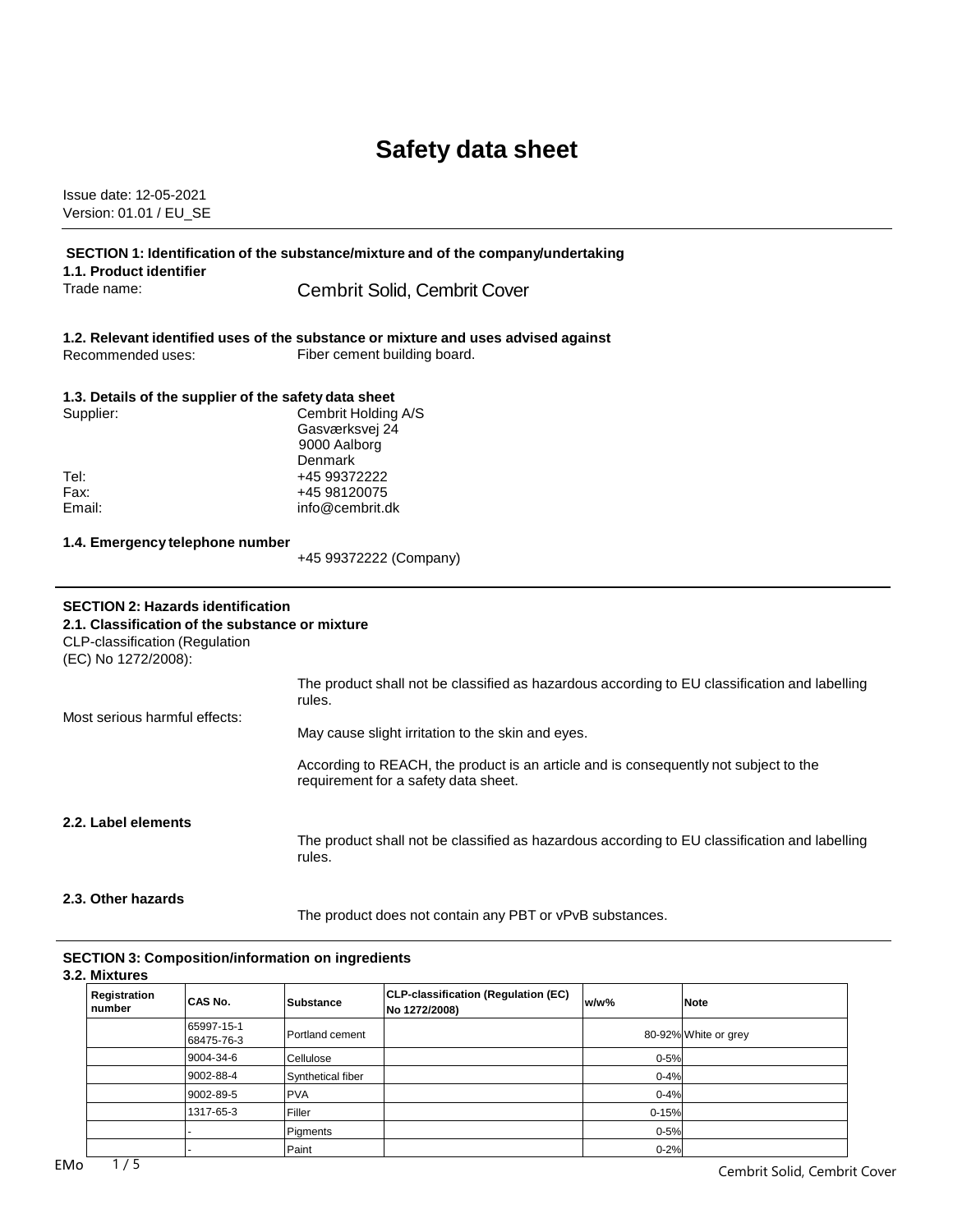# **Safety data sheet**

Issue date: 12-05-2021 Version: 01.01 / EU\_SE

| SECTION 1: Identification of the substance/mixture and of the company/undertaking<br>1.1. Product identifier |                                                                                                                              |  |
|--------------------------------------------------------------------------------------------------------------|------------------------------------------------------------------------------------------------------------------------------|--|
| Trade name:                                                                                                  | <b>Cembrit Solid, Cembrit Cover</b>                                                                                          |  |
|                                                                                                              | 1.2. Relevant identified uses of the substance or mixture and uses advised against                                           |  |
| Recommended uses:                                                                                            | Fiber cement building board.                                                                                                 |  |
| 1.3. Details of the supplier of the safety data sheet                                                        |                                                                                                                              |  |
| Supplier:                                                                                                    | Cembrit Holding A/S                                                                                                          |  |
|                                                                                                              | Gasværksvej 24<br>9000 Aalborg                                                                                               |  |
| Tel:                                                                                                         | Denmark                                                                                                                      |  |
| Fax:                                                                                                         | +45 99372222<br>+45 98120075                                                                                                 |  |
| Email:                                                                                                       | info@cembrit.dk                                                                                                              |  |
| 1.4. Emergency telephone number                                                                              |                                                                                                                              |  |
|                                                                                                              | +45 99372222 (Company)                                                                                                       |  |
|                                                                                                              |                                                                                                                              |  |
| <b>SECTION 2: Hazards identification</b>                                                                     |                                                                                                                              |  |
| 2.1. Classification of the substance or mixture<br>CLP-classification (Regulation<br>(EC) No 1272/2008):     |                                                                                                                              |  |
|                                                                                                              | The product shall not be classified as hazardous according to EU classification and labelling<br>rules.                      |  |
| Most serious harmful effects:                                                                                | May cause slight irritation to the skin and eyes.                                                                            |  |
|                                                                                                              | According to REACH, the product is an article and is consequently not subject to the<br>requirement for a safety data sheet. |  |
| 2.2. Label elements                                                                                          | The product shall not be classified as hazardous according to EU classification and labelling<br>rules.                      |  |

### **SECTION 3: Composition/information on ingredients**

## **3.2. Mixtures**

| Registration<br>number | CAS No.                  | <b>Substance</b>  | CLP-classification (Regulation (EC)<br>No 1272/2008) | $w/w$ %   | <b>Note</b>          |
|------------------------|--------------------------|-------------------|------------------------------------------------------|-----------|----------------------|
|                        | 65997-15-1<br>68475-76-3 | Portland cement   |                                                      |           | 80-92% White or grey |
|                        | 9004-34-6                | Cellulose         |                                                      | $0 - 5%$  |                      |
|                        | 9002-88-4                | Synthetical fiber |                                                      | $0 - 4%$  |                      |
|                        | 9002-89-5                | <b>PVA</b>        |                                                      | $0 - 4%$  |                      |
|                        | 1317-65-3                | Filler            |                                                      | $0 - 15%$ |                      |
|                        |                          | Pigments          |                                                      | $0 - 5%$  |                      |
|                        |                          | Paint             |                                                      | $0 - 2%$  |                      |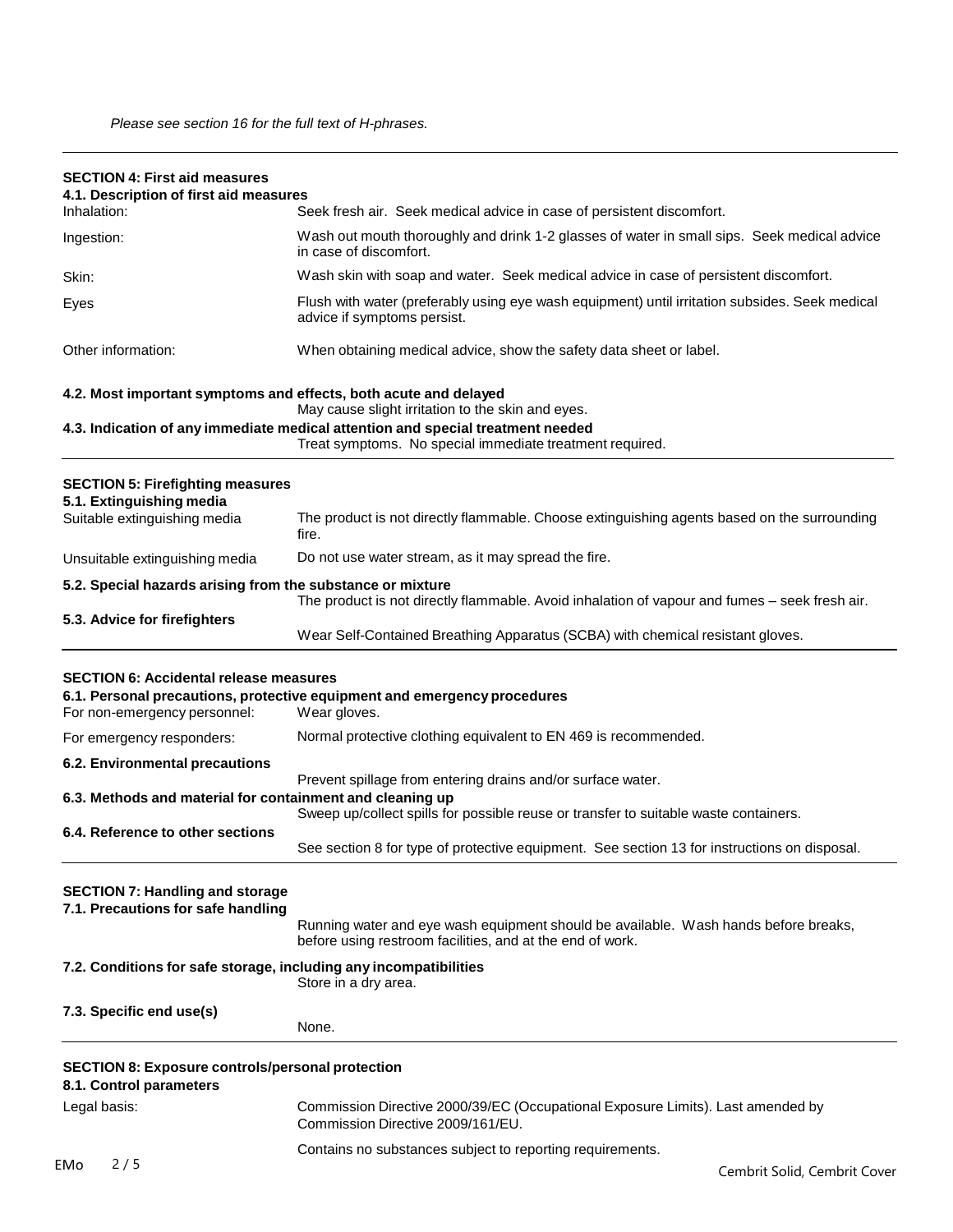| <b>SECTION 4: First aid measures</b><br>4.1. Description of first aid measures     |                                                                                                                                                     |
|------------------------------------------------------------------------------------|-----------------------------------------------------------------------------------------------------------------------------------------------------|
| Inhalation:                                                                        | Seek fresh air. Seek medical advice in case of persistent discomfort.                                                                               |
| Ingestion:                                                                         | Wash out mouth thoroughly and drink 1-2 glasses of water in small sips. Seek medical advice<br>in case of discomfort.                               |
| Skin:                                                                              | Wash skin with soap and water. Seek medical advice in case of persistent discomfort.                                                                |
| Eyes                                                                               | Flush with water (preferably using eye wash equipment) until irritation subsides. Seek medical<br>advice if symptoms persist.                       |
| Other information:                                                                 | When obtaining medical advice, show the safety data sheet or label.                                                                                 |
|                                                                                    | 4.2. Most important symptoms and effects, both acute and delayed<br>May cause slight irritation to the skin and eyes.                               |
|                                                                                    | 4.3. Indication of any immediate medical attention and special treatment needed<br>Treat symptoms. No special immediate treatment required.         |
| <b>SECTION 5: Firefighting measures</b>                                            |                                                                                                                                                     |
| 5.1. Extinguishing media<br>Suitable extinguishing media                           | The product is not directly flammable. Choose extinguishing agents based on the surrounding<br>fire.                                                |
| Unsuitable extinguishing media                                                     | Do not use water stream, as it may spread the fire.                                                                                                 |
| 5.2. Special hazards arising from the substance or mixture                         | The product is not directly flammable. Avoid inhalation of vapour and fumes - seek fresh air.                                                       |
| 5.3. Advice for firefighters                                                       | Wear Self-Contained Breathing Apparatus (SCBA) with chemical resistant gloves.                                                                      |
| <b>SECTION 6: Accidental release measures</b><br>For non-emergency personnel:      | 6.1. Personal precautions, protective equipment and emergency procedures<br>Wear gloves.                                                            |
| For emergency responders:                                                          | Normal protective clothing equivalent to EN 469 is recommended.                                                                                     |
| 6.2. Environmental precautions                                                     |                                                                                                                                                     |
| 6.3. Methods and material for containment and cleaning up                          | Prevent spillage from entering drains and/or surface water.<br>Sweep up/collect spills for possible reuse or transfer to suitable waste containers. |
| 6.4. Reference to other sections                                                   | See section 8 for type of protective equipment. See section 13 for instructions on disposal.                                                        |
| <b>SECTION 7: Handling and storage</b><br>7.1. Precautions for safe handling       | Running water and eye wash equipment should be available. Wash hands before breaks,<br>before using restroom facilities, and at the end of work.    |
| 7.2. Conditions for safe storage, including any incompatibilities                  | Store in a dry area.                                                                                                                                |
| 7.3. Specific end use(s)                                                           | None.                                                                                                                                               |
| <b>SECTION 8: Exposure controls/personal protection</b><br>8.1. Control parameters |                                                                                                                                                     |
| Legal basis:                                                                       | Commission Directive 2000/39/EC (Occupational Exposure Limits). Last amended by<br>Commission Directive 2009/161/EU.                                |
|                                                                                    | Contains no substances subject to reporting requirements.                                                                                           |
| 2/5<br><b>EMo</b>                                                                  | Cembrit Solid, Cembrit Cover                                                                                                                        |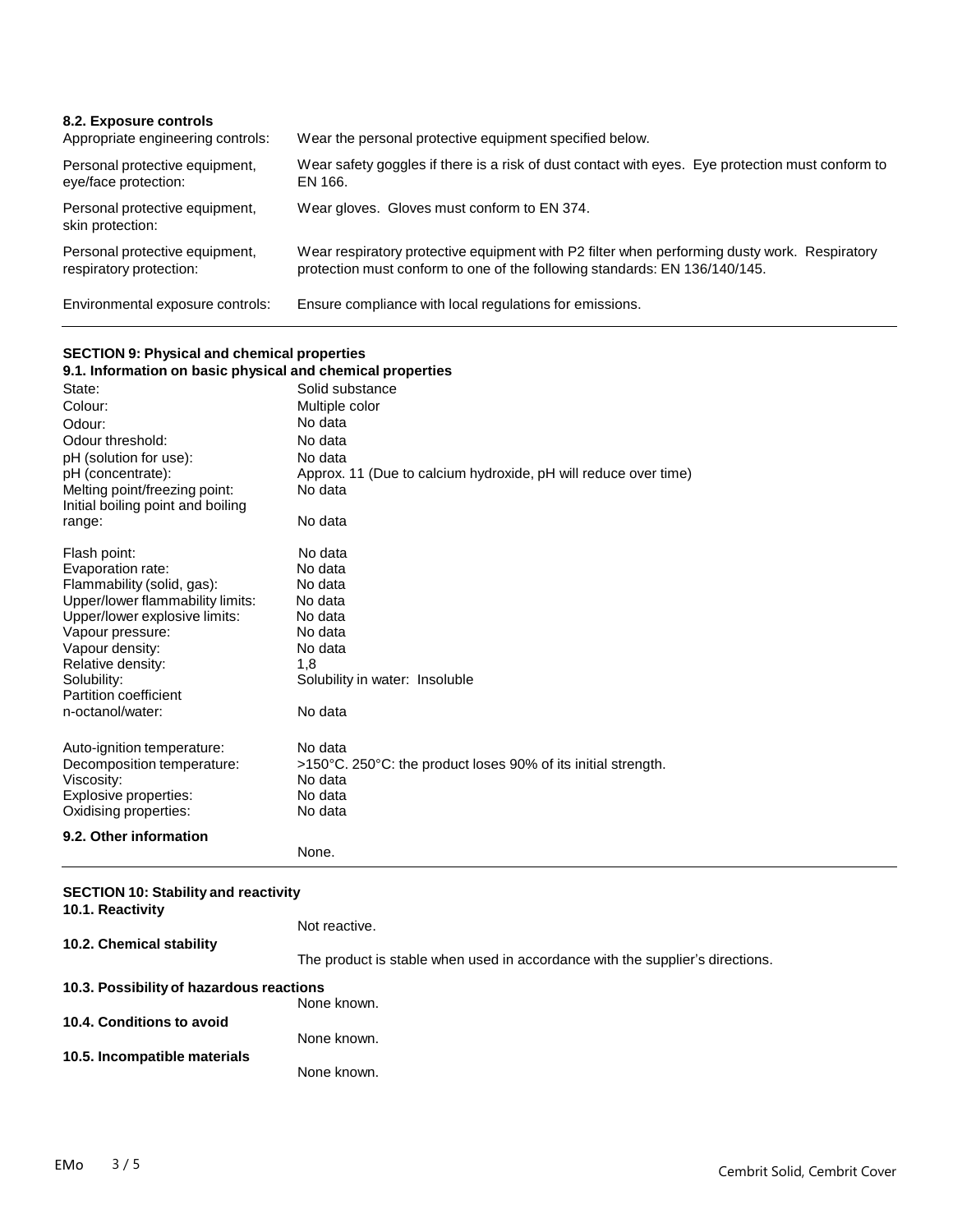| 8.2. Exposure controls<br>Appropriate engineering controls: | Wear the personal protective equipment specified below.                                                                                                                    |
|-------------------------------------------------------------|----------------------------------------------------------------------------------------------------------------------------------------------------------------------------|
| Personal protective equipment,<br>eye/face protection:      | Wear safety goggles if there is a risk of dust contact with eyes. Eye protection must conform to<br>EN 166.                                                                |
| Personal protective equipment,<br>skin protection:          | Wear gloves. Gloves must conform to EN 374.                                                                                                                                |
| Personal protective equipment,<br>respiratory protection:   | Wear respiratory protective equipment with P2 filter when performing dusty work. Respiratory<br>protection must conform to one of the following standards: EN 136/140/145. |
| Environmental exposure controls:                            | Ensure compliance with local regulations for emissions.                                                                                                                    |

# **SECTION 9: Physical and chemical properties**

| <u>ULUITUITU. TII joidal alla olielilleäl properties</u>   |                                                                 |
|------------------------------------------------------------|-----------------------------------------------------------------|
| 9.1. Information on basic physical and chemical properties |                                                                 |
| State:                                                     | Solid substance                                                 |
| Colour:                                                    | Multiple color                                                  |
| Odour:                                                     | No data                                                         |
| Odour threshold:                                           | No data                                                         |
| pH (solution for use):                                     | No data                                                         |
| pH (concentrate):                                          | Approx. 11 (Due to calcium hydroxide, pH will reduce over time) |
| Melting point/freezing point:                              | No data                                                         |
| Initial boiling point and boiling                          |                                                                 |
| range:                                                     | No data                                                         |
| Flash point:                                               | No data                                                         |
| Evaporation rate:                                          | No data                                                         |
| Flammability (solid, gas):                                 | No data                                                         |
| Upper/lower flammability limits:                           | No data                                                         |
| Upper/lower explosive limits:                              | No data                                                         |
| Vapour pressure:                                           | No data                                                         |
| Vapour density:                                            | No data                                                         |
| Relative density:                                          | 1,8                                                             |
| Solubility:                                                | Solubility in water: Insoluble                                  |
| Partition coefficient                                      |                                                                 |
| n-octanol/water:                                           | No data                                                         |
| Auto-ignition temperature:                                 | No data                                                         |
| Decomposition temperature:                                 | >150°C. 250°C: the product loses 90% of its initial strength.   |
| Viscosity:                                                 | No data                                                         |
| Explosive properties:                                      | No data                                                         |
| Oxidising properties:                                      | No data                                                         |
| 9.2. Other information                                     |                                                                 |
|                                                            | None.                                                           |

| <b>SECTION 10: Stability and reactivity</b><br>10.1. Reactivity |                                                                               |
|-----------------------------------------------------------------|-------------------------------------------------------------------------------|
|                                                                 | Not reactive.                                                                 |
| 10.2. Chemical stability                                        | The product is stable when used in accordance with the supplier's directions. |
| 10.3. Possibility of hazardous reactions                        |                                                                               |
|                                                                 | None known.                                                                   |
| 10.4. Conditions to avoid                                       | None known.                                                                   |
| 10.5. Incompatible materials                                    | None known.                                                                   |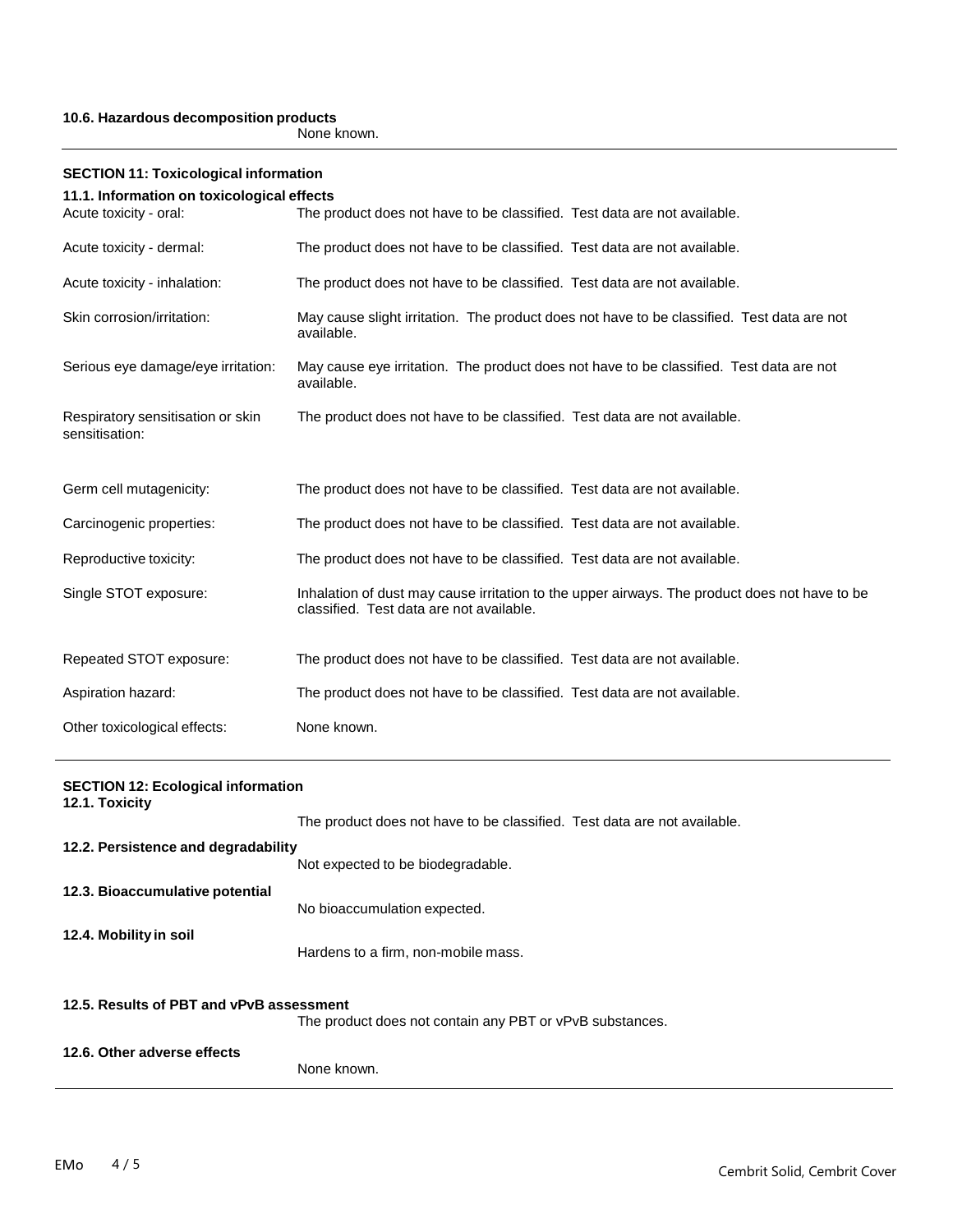### **10.6. Hazardous decomposition products**

None known.

| <b>SECTION 11: Toxicological information</b>        |                                                                                                                                           |  |  |
|-----------------------------------------------------|-------------------------------------------------------------------------------------------------------------------------------------------|--|--|
| 11.1. Information on toxicological effects          |                                                                                                                                           |  |  |
| Acute toxicity - oral:                              | The product does not have to be classified. Test data are not available.                                                                  |  |  |
| Acute toxicity - dermal:                            | The product does not have to be classified. Test data are not available.                                                                  |  |  |
| Acute toxicity - inhalation:                        | The product does not have to be classified. Test data are not available.                                                                  |  |  |
| Skin corrosion/irritation:                          | May cause slight irritation. The product does not have to be classified. Test data are not<br>available.                                  |  |  |
| Serious eye damage/eye irritation:                  | May cause eye irritation. The product does not have to be classified. Test data are not<br>available.                                     |  |  |
| Respiratory sensitisation or skin<br>sensitisation: | The product does not have to be classified. Test data are not available.                                                                  |  |  |
| Germ cell mutagenicity:                             | The product does not have to be classified. Test data are not available.                                                                  |  |  |
| Carcinogenic properties:                            | The product does not have to be classified. Test data are not available.                                                                  |  |  |
| Reproductive toxicity:                              | The product does not have to be classified. Test data are not available.                                                                  |  |  |
| Single STOT exposure:                               | Inhalation of dust may cause irritation to the upper airways. The product does not have to be<br>classified. Test data are not available. |  |  |
| Repeated STOT exposure:                             | The product does not have to be classified. Test data are not available.                                                                  |  |  |
| Aspiration hazard:                                  | The product does not have to be classified. Test data are not available.                                                                  |  |  |
| Other toxicological effects:                        | None known.                                                                                                                               |  |  |

| <b>SECTION 12: Ecological information</b> |                                                                          |  |
|-------------------------------------------|--------------------------------------------------------------------------|--|
| 12.1. Toxicity                            |                                                                          |  |
|                                           | The product does not have to be classified. Test data are not available. |  |
| 12.2. Persistence and degradability       |                                                                          |  |
|                                           | Not expected to be biodegradable.                                        |  |
| 12.3. Bioaccumulative potential           |                                                                          |  |
|                                           | No bioaccumulation expected.                                             |  |
| 12.4. Mobility in soil                    |                                                                          |  |
|                                           | Hardens to a firm, non-mobile mass.                                      |  |
| 12.5. Results of PBT and vPvB assessment  |                                                                          |  |
|                                           | The product does not contain any PBT or vPvB substances.                 |  |
| 12.6. Other adverse effects               |                                                                          |  |
|                                           | None known.                                                              |  |